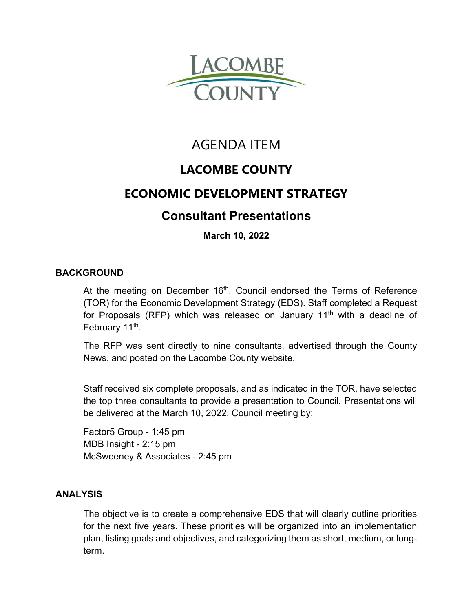

# AGENDA ITEM

## **LACOMBE COUNTY**

### **ECONOMIC DEVELOPMENT STRATEGY**

### **Consultant Presentations**

**March 10, 2022** 

#### **BACKGROUND**

At the meeting on December  $16<sup>th</sup>$ , Council endorsed the Terms of Reference (TOR) for the Economic Development Strategy (EDS). Staff completed a Request for Proposals (RFP) which was released on January  $11<sup>th</sup>$  with a deadline of February 11<sup>th</sup>.

The RFP was sent directly to nine consultants, advertised through the County News, and posted on the Lacombe County website.

Staff received six complete proposals, and as indicated in the TOR, have selected the top three consultants to provide a presentation to Council. Presentations will be delivered at the March 10, 2022, Council meeting by:

Factor5 Group - 1:45 pm MDB Insight - 2:15 pm McSweeney & Associates - 2:45 pm

#### **ANALYSIS**

The objective is to create a comprehensive EDS that will clearly outline priorities for the next five years. These priorities will be organized into an implementation plan, listing goals and objectives, and categorizing them as short, medium, or longterm.